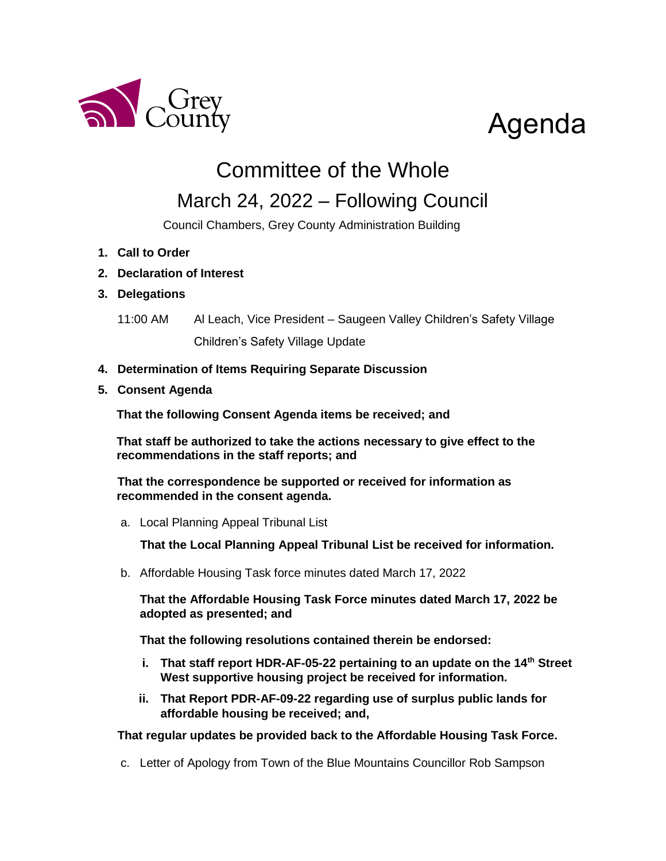

## Agenda

## Committee of the Whole

## March 24, 2022 – Following Council

Council Chambers, Grey County Administration Building

- **1. Call to Order**
- **2. Declaration of Interest**

## **3. Delegations**

- 11:00 AM Al Leach, Vice President Saugeen Valley Children's Safety Village Children's Safety Village Update
- **4. Determination of Items Requiring Separate Discussion**
- **5. Consent Agenda**

**That the following Consent Agenda items be received; and**

**That staff be authorized to take the actions necessary to give effect to the recommendations in the staff reports; and**

**That the correspondence be supported or received for information as recommended in the consent agenda.**

a. Local Planning Appeal Tribunal List

**That the Local Planning Appeal Tribunal List be received for information.** 

b. Affordable Housing Task force minutes dated March 17, 2022

**That the Affordable Housing Task Force minutes dated March 17, 2022 be adopted as presented; and**

**That the following resolutions contained therein be endorsed:**

- **i. That staff report HDR-AF-05-22 pertaining to an update on the 14th Street West supportive housing project be received for information.**
- **ii. That Report PDR-AF-09-22 regarding use of surplus public lands for affordable housing be received; and,**

**That regular updates be provided back to the Affordable Housing Task Force.**

c. Letter of Apology from Town of the Blue Mountains Councillor Rob Sampson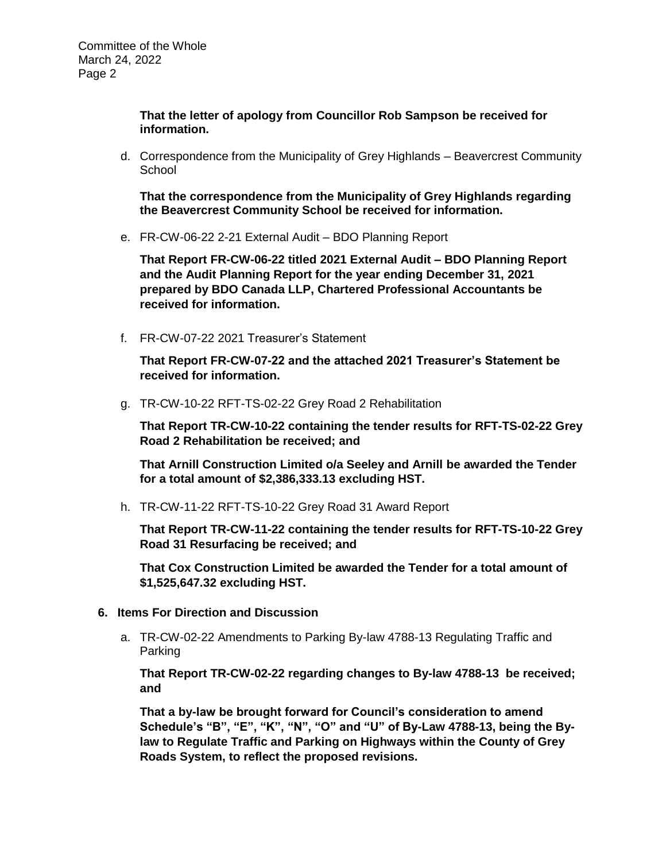**That the letter of apology from Councillor Rob Sampson be received for information.**

d. Correspondence from the Municipality of Grey Highlands – Beavercrest Community **School** 

**That the correspondence from the Municipality of Grey Highlands regarding the Beavercrest Community School be received for information.** 

e. FR-CW-06-22 2-21 External Audit – BDO Planning Report

**That Report FR-CW-06-22 titled 2021 External Audit – BDO Planning Report and the Audit Planning Report for the year ending December 31, 2021 prepared by BDO Canada LLP, Chartered Professional Accountants be received for information.**

f. FR-CW-07-22 2021 Treasurer's Statement

**That Report FR-CW-07-22 and the attached 2021 Treasurer's Statement be received for information.**

g. TR-CW-10-22 RFT-TS-02-22 Grey Road 2 Rehabilitation

**That Report TR-CW-10-22 containing the tender results for RFT-TS-02-22 Grey Road 2 Rehabilitation be received; and**

**That Arnill Construction Limited o/a Seeley and Arnill be awarded the Tender for a total amount of \$2,386,333.13 excluding HST.**

h. TR-CW-11-22 RFT-TS-10-22 Grey Road 31 Award Report

**That Report TR-CW-11-22 containing the tender results for RFT-TS-10-22 Grey Road 31 Resurfacing be received; and**

**That Cox Construction Limited be awarded the Tender for a total amount of \$1,525,647.32 excluding HST.**

- **6. Items For Direction and Discussion**
	- a. TR-CW-02-22 Amendments to Parking By-law 4788-13 Regulating Traffic and Parking

**That Report TR-CW-02-22 regarding changes to By-law 4788-13 be received; and**

**That a by-law be brought forward for Council's consideration to amend Schedule's "B", "E", "K", "N", "O" and "U" of By-Law 4788-13, being the Bylaw to Regulate Traffic and Parking on Highways within the County of Grey Roads System, to reflect the proposed revisions.**